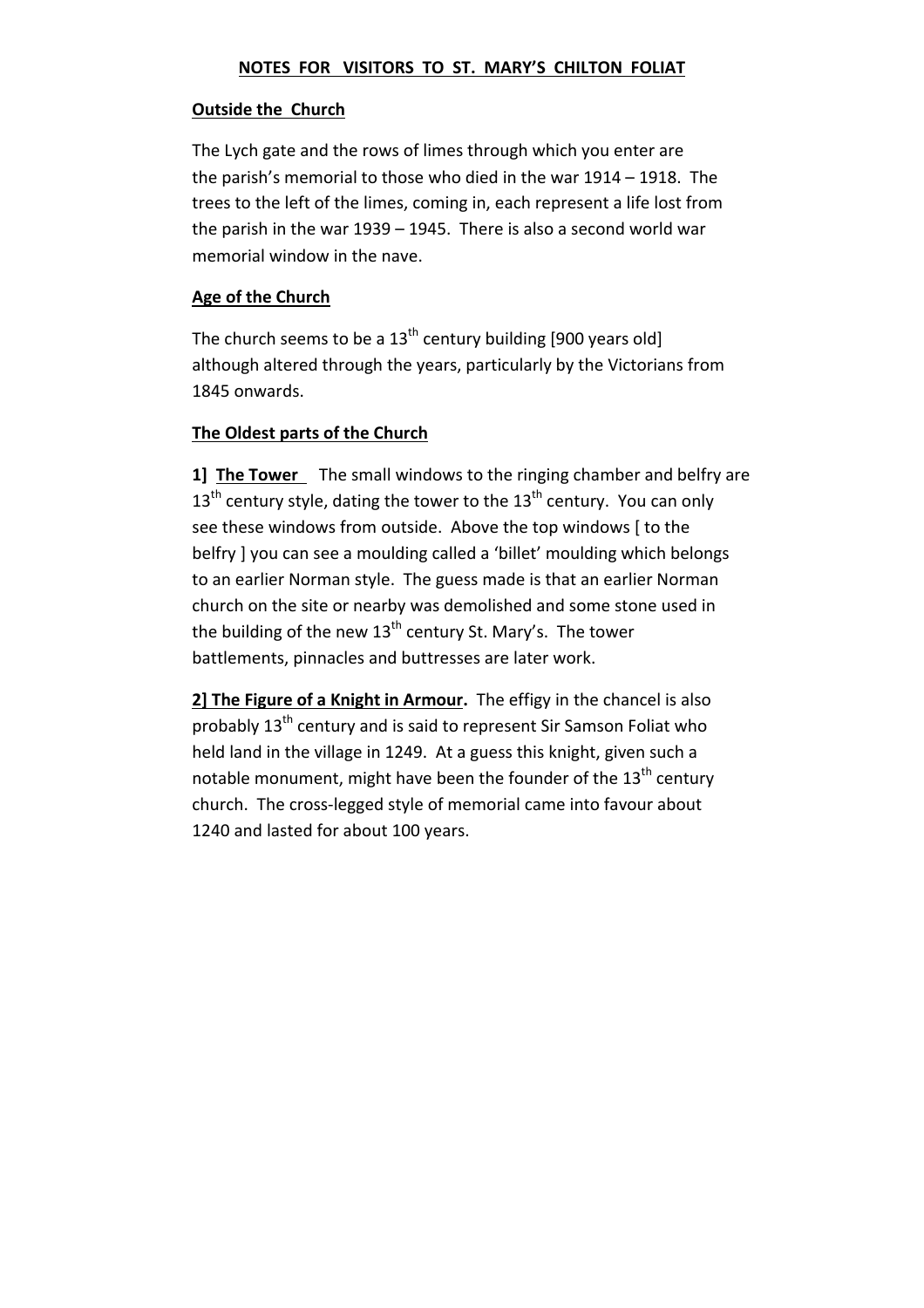## **NOTES FOR VISITORS TO ST. MARY'S CHILTON FOLIAT**

## **Outside the Church**

The Lych gate and the rows of limes through which you enter are the parish's memorial to those who died in the war 1914 – 1918. The trees to the left of the limes, coming in, each represent a life lost from the parish in the war 1939 – 1945. There is also a second world war memorial window in the nave.

# **Age of the Church**

The church seems to be a  $13<sup>th</sup>$  century building [900 years old] although altered through the years, particularly by the Victorians from 1845 onwards.

# **The Oldest parts of the Church**

**1] The Tower**  The small windows to the ringing chamber and belfry are  $13<sup>th</sup>$  century style, dating the tower to the  $13<sup>th</sup>$  century. You can only see these windows from outside. Above the top windows [ to the belfry ] you can see a moulding called a 'billet' moulding which belongs to an earlier Norman style. The guess made is that an earlier Norman church on the site or nearby was demolished and some stone used in the building of the new  $13<sup>th</sup>$  century St. Mary's. The tower battlements, pinnacles and buttresses are later work.

**2] The Figure of a Knight in Armour.** The effigy in the chancel is also probably 13<sup>th</sup> century and is said to represent Sir Samson Foliat who held land in the village in 1249. At a guess this knight, given such a notable monument, might have been the founder of the  $13<sup>th</sup>$  century church. The cross‐legged style of memorial came into favour about 1240 and lasted for about 100 years.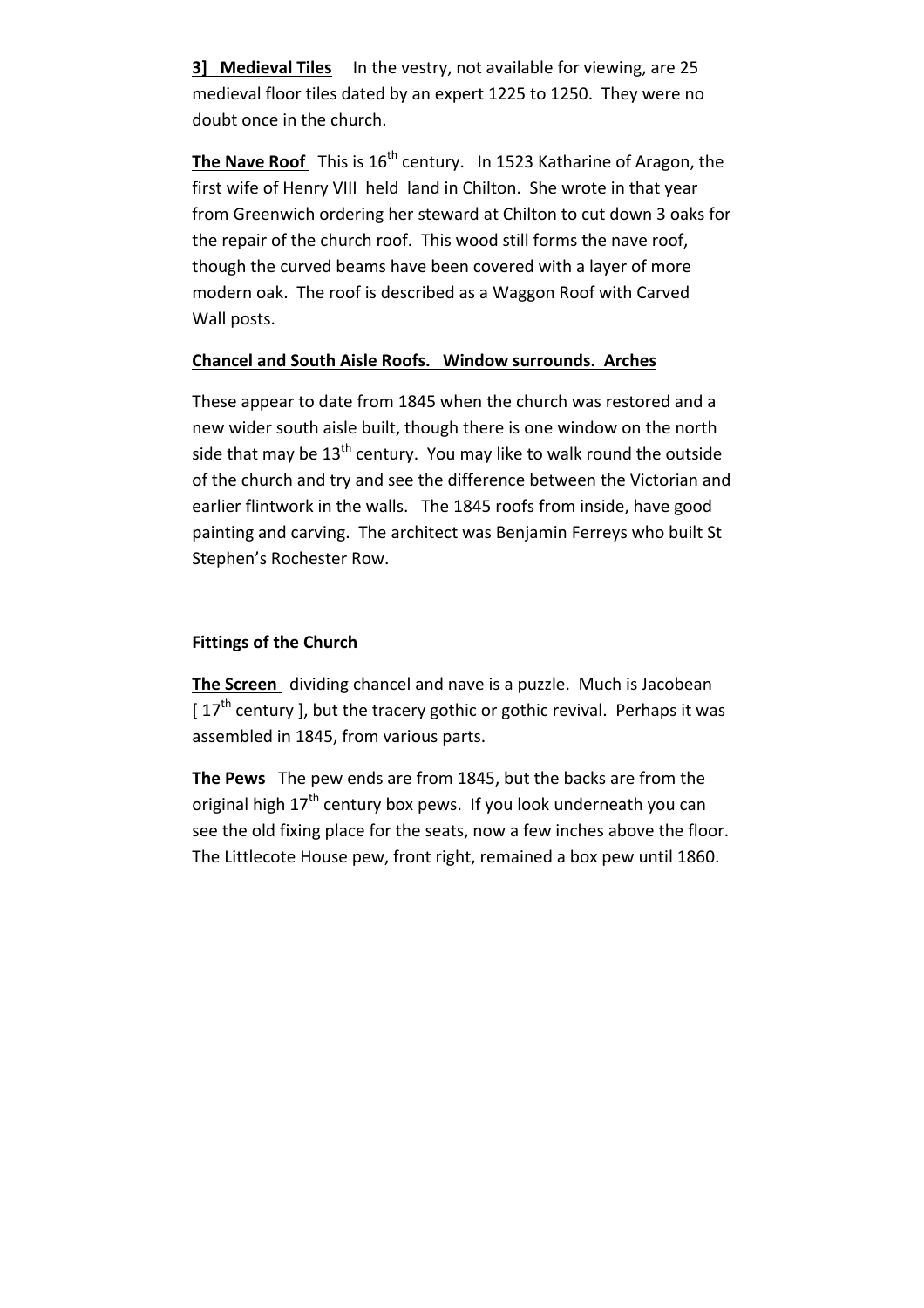**3] Medieval Tiles** In the vestry, not available for viewing, are 25 medieval floor tiles dated by an expert 1225 to 1250. They were no doubt once in the church.

**The Nave Roof** This is 16<sup>th</sup> century. In 1523 Katharine of Aragon, the first wife of Henry VIII held land in Chilton. She wrote in that year from Greenwich ordering her steward at Chilton to cut down 3 oaks for the repair of the church roof. This wood still forms the nave roof, though the curved beams have been covered with a layer of more modern oak. The roof is described as a Waggon Roof with Carved Wall posts.

# **Chancel and South Aisle Roofs. Window surrounds. Arches**

These appear to date from 1845 when the church was restored and a new wider south aisle built, though there is one window on the north side that may be  $13<sup>th</sup>$  century. You may like to walk round the outside of the church and try and see the difference between the Victorian and earlier flintwork in the walls. The 1845 roofs from inside, have good painting and carving. The architect was Benjamin Ferreys who built St Stephen's Rochester Row.

## **Fittings of the Church**

**The Screen** dividing chancel and nave is a puzzle. Much is Jacobean  $[17<sup>th</sup>$  century ], but the tracery gothic or gothic revival. Perhaps it was assembled in 1845, from various parts.

**The Pews** The pew ends are from 1845, but the backs are from the original high  $17<sup>th</sup>$  century box pews. If you look underneath you can see the old fixing place for the seats, now a few inches above the floor. The Littlecote House pew, front right, remained a box pew until 1860.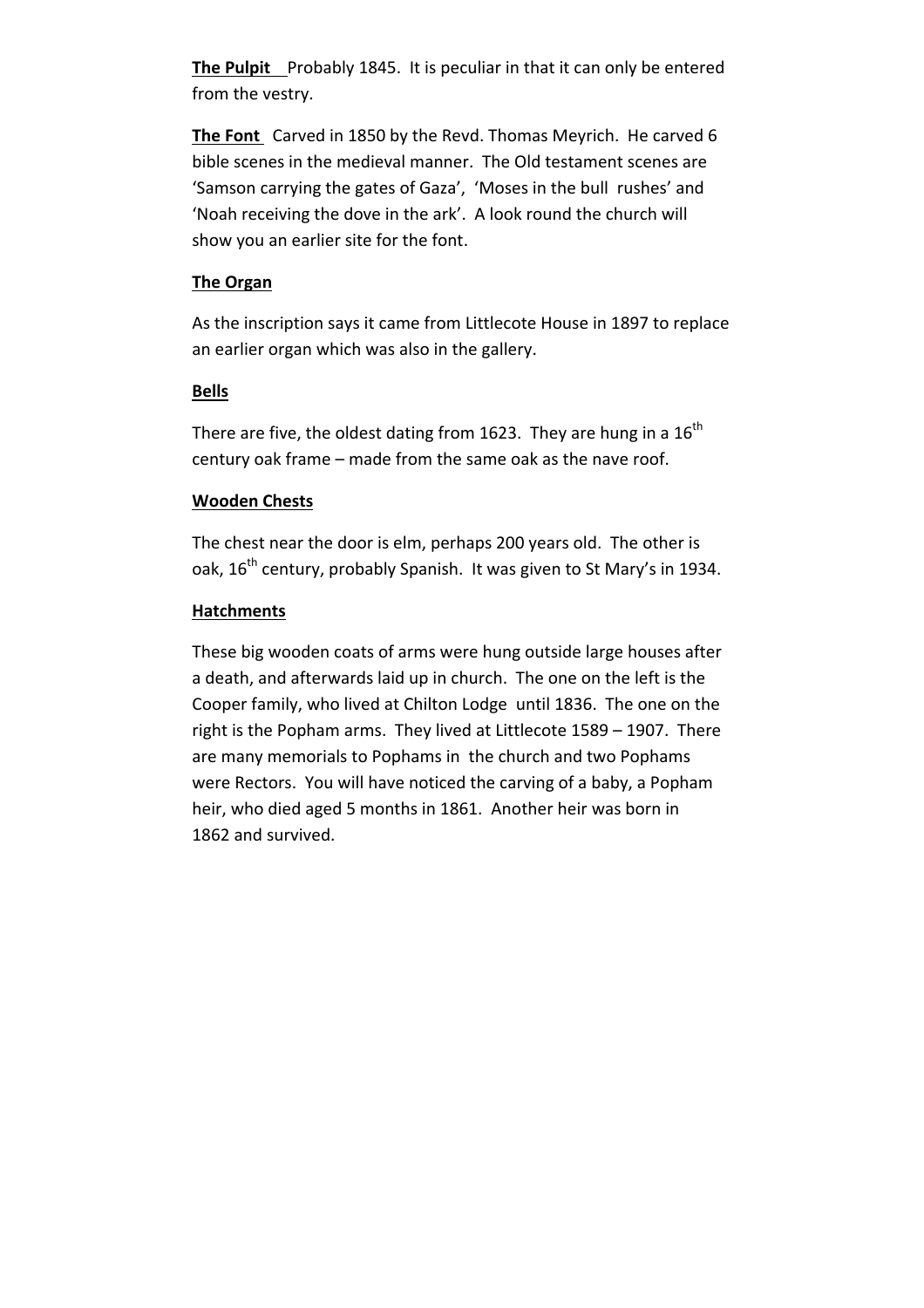**The Pulpit** Probably 1845. It is peculiar in that it can only be entered from the vestry.

**The Font** Carved in 1850 by the Revd. Thomas Meyrich. He carved 6 bible scenes in the medieval manner. The Old testament scenes are 'Samson carrying the gates of Gaza', 'Moses in the bull rushes' and 'Noah receiving the dove in the ark'. A look round the church will show you an earlier site for the font.

# **The Organ**

As the inscription says it came from Littlecote House in 1897 to replace an earlier organ which was also in the gallery.

### **Bells**

There are five, the oldest dating from 1623. They are hung in a  $16<sup>th</sup>$ century oak frame – made from the same oak as the nave roof.

#### **Wooden Chests**

The chest near the door is elm, perhaps 200 years old. The other is oak,  $16^{th}$  century, probably Spanish. It was given to St Mary's in 1934.

#### **Hatchments**

These big wooden coats of arms were hung outside large houses after a death, and afterwards laid up in church. The one on the left is the Cooper family, who lived at Chilton Lodge until 1836. The one on the right is the Popham arms. They lived at Littlecote 1589 – 1907. There are many memorials to Pophams in the church and two Pophams were Rectors. You will have noticed the carving of a baby, a Popham heir, who died aged 5 months in 1861. Another heir was born in 1862 and survived.